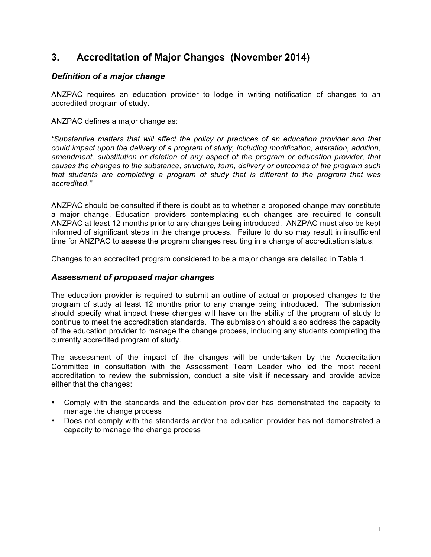# **3. Accreditation of Major Changes (November 2014)**

## *Definition of a major change*

ANZPAC requires an education provider to lodge in writing notification of changes to an accredited program of study.

ANZPAC defines a major change as:

*"Substantive matters that will affect the policy or practices of an education provider and that could impact upon the delivery of a program of study, including modification, alteration, addition, amendment, substitution or deletion of any aspect of the program or education provider, that causes the changes to the substance, structure, form, delivery or outcomes of the program such that students are completing a program of study that is different to the program that was accredited."*

ANZPAC should be consulted if there is doubt as to whether a proposed change may constitute a major change. Education providers contemplating such changes are required to consult ANZPAC at least 12 months prior to any changes being introduced. ANZPAC must also be kept informed of significant steps in the change process. Failure to do so may result in insufficient time for ANZPAC to assess the program changes resulting in a change of accreditation status.

Changes to an accredited program considered to be a major change are detailed in Table 1.

### *Assessment of proposed major changes*

The education provider is required to submit an outline of actual or proposed changes to the program of study at least 12 months prior to any change being introduced. The submission should specify what impact these changes will have on the ability of the program of study to continue to meet the accreditation standards. The submission should also address the capacity of the education provider to manage the change process, including any students completing the currently accredited program of study.

The assessment of the impact of the changes will be undertaken by the Accreditation Committee in consultation with the Assessment Team Leader who led the most recent accreditation to review the submission, conduct a site visit if necessary and provide advice either that the changes:

- Comply with the standards and the education provider has demonstrated the capacity to manage the change process
- Does not comply with the standards and/or the education provider has not demonstrated a capacity to manage the change process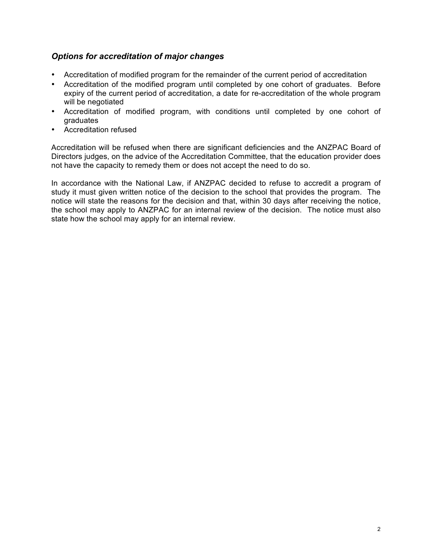# *Options for accreditation of major changes*

- Accreditation of modified program for the remainder of the current period of accreditation
- Accreditation of the modified program until completed by one cohort of graduates. Before expiry of the current period of accreditation, a date for re-accreditation of the whole program will be negotiated
- Accreditation of modified program, with conditions until completed by one cohort of graduates
- Accreditation refused

Accreditation will be refused when there are significant deficiencies and the ANZPAC Board of Directors judges, on the advice of the Accreditation Committee, that the education provider does not have the capacity to remedy them or does not accept the need to do so.

In accordance with the National Law, if ANZPAC decided to refuse to accredit a program of study it must given written notice of the decision to the school that provides the program. The notice will state the reasons for the decision and that, within 30 days after receiving the notice, the school may apply to ANZPAC for an internal review of the decision. The notice must also state how the school may apply for an internal review.